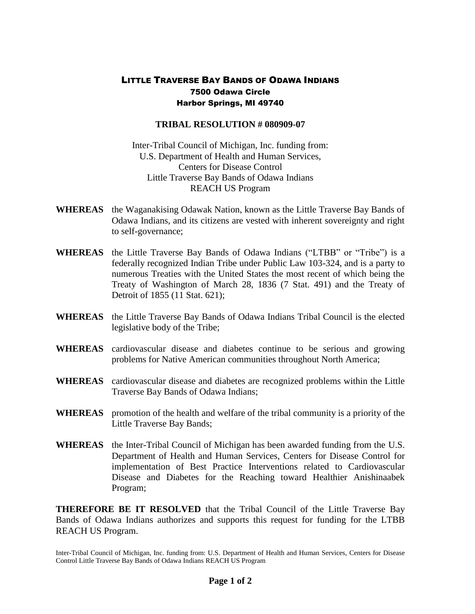## LITTLE TRAVERSE BAY BANDS OF ODAWA INDIANS 7500 Odawa Circle Harbor Springs, MI 49740

## **TRIBAL RESOLUTION # 080909-07**

Inter-Tribal Council of Michigan, Inc. funding from: U.S. Department of Health and Human Services, Centers for Disease Control Little Traverse Bay Bands of Odawa Indians REACH US Program

- **WHEREAS** the Waganakising Odawak Nation, known as the Little Traverse Bay Bands of Odawa Indians, and its citizens are vested with inherent sovereignty and right to self-governance;
- **WHEREAS** the Little Traverse Bay Bands of Odawa Indians ("LTBB" or "Tribe") is a federally recognized Indian Tribe under Public Law 103-324, and is a party to numerous Treaties with the United States the most recent of which being the Treaty of Washington of March 28, 1836 (7 Stat. 491) and the Treaty of Detroit of 1855 (11 Stat. 621);
- **WHEREAS** the Little Traverse Bay Bands of Odawa Indians Tribal Council is the elected legislative body of the Tribe;
- **WHEREAS** cardiovascular disease and diabetes continue to be serious and growing problems for Native American communities throughout North America;
- **WHEREAS** cardiovascular disease and diabetes are recognized problems within the Little Traverse Bay Bands of Odawa Indians;
- **WHEREAS** promotion of the health and welfare of the tribal community is a priority of the Little Traverse Bay Bands;
- **WHEREAS** the Inter-Tribal Council of Michigan has been awarded funding from the U.S. Department of Health and Human Services, Centers for Disease Control for implementation of Best Practice Interventions related to Cardiovascular Disease and Diabetes for the Reaching toward Healthier Anishinaabek Program;

**THEREFORE BE IT RESOLVED** that the Tribal Council of the Little Traverse Bay Bands of Odawa Indians authorizes and supports this request for funding for the LTBB REACH US Program.

Inter-Tribal Council of Michigan, Inc. funding from: U.S. Department of Health and Human Services, Centers for Disease Control Little Traverse Bay Bands of Odawa Indians REACH US Program